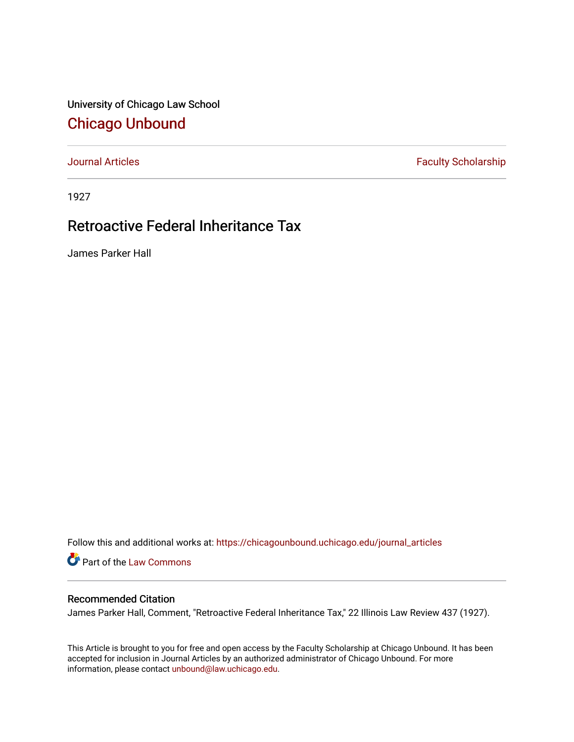University of Chicago Law School [Chicago Unbound](https://chicagounbound.uchicago.edu/)

[Journal Articles](https://chicagounbound.uchicago.edu/journal_articles) **Faculty Scholarship Faculty Scholarship** 

1927

## Retroactive Federal Inheritance Tax

James Parker Hall

Follow this and additional works at: [https://chicagounbound.uchicago.edu/journal\\_articles](https://chicagounbound.uchicago.edu/journal_articles?utm_source=chicagounbound.uchicago.edu%2Fjournal_articles%2F9356&utm_medium=PDF&utm_campaign=PDFCoverPages) 

Part of the [Law Commons](http://network.bepress.com/hgg/discipline/578?utm_source=chicagounbound.uchicago.edu%2Fjournal_articles%2F9356&utm_medium=PDF&utm_campaign=PDFCoverPages)

## Recommended Citation

James Parker Hall, Comment, "Retroactive Federal Inheritance Tax," 22 Illinois Law Review 437 (1927).

This Article is brought to you for free and open access by the Faculty Scholarship at Chicago Unbound. It has been accepted for inclusion in Journal Articles by an authorized administrator of Chicago Unbound. For more information, please contact [unbound@law.uchicago.edu](mailto:unbound@law.uchicago.edu).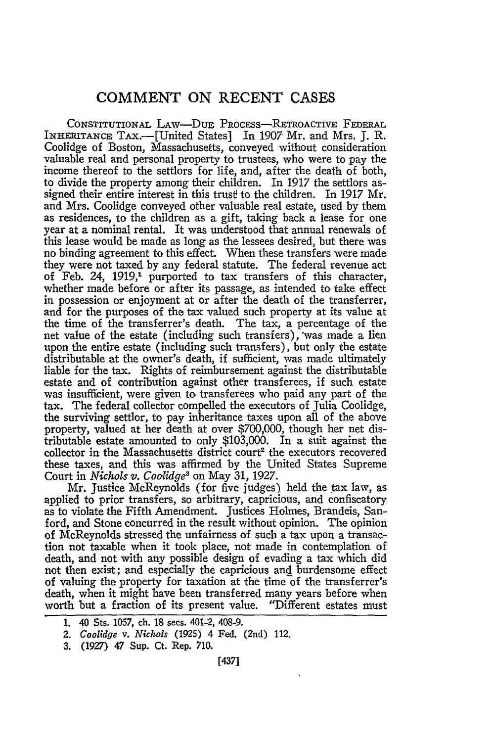## **COMMENT ON RECENT CASES**

CONSTITUTIONAL LAw-DuE PROCESS-RETROACTIVE FEDERAL INHERITANCE TAx.-[United States] In 1907 Mr. and Mrs. J. R. Coolidge of Boston, Massachusetts, conveyed without consideration valuable real and personal property to trustees, who were to pay the income thereof to the settlors for life, and, after the death of both, to divide the property among their children. In 1917 the settlors assigned their entire interest in this trusf to the children. In 1917 Mr. and Mrs. Coolidge conveyed other valuable real estate, used by them as residences, to the children as a gift, taking back a lease for one year at a nominal rental. It was understood that annual renewals of this lease would be made as long as the lessees desired, but there was no binding agreement to this effect. When these transfers were made they were not taxed by any federal statute. The federal revenue act of Feb. 24, 1919,<sup>1</sup> purported to tax transfers of this character, whether made before or after its passage, as intended to take effect in possession or enjoyment at or after the death of the transferrer, and for the purposes of the tax valued such property at its value at the time of the transferrer's death. The tax, a percentage of the net value of the estate (including such transfers), 'was made a lien upon the entire estate (including such transfers), but only the estate distributable at the owner's death, if sufficient, was made ultimately liable for the tax. Rights of reimbursement against the distributable estate and of contribution against other transferees, if such estate was insufficient, were given to transferees who paid any part of the tax. The federal collector compelled the executors of Julia Coolidge, the surviving settlor, to pay inheritance taxes upon all of the above property, valued at her death at over \$700,000, though her net distributable estate amounted to only \$103,000. In a suit against the collector in the Massachusetts district court<sup>2</sup> the executors recovered these taxes, and this was affirmed by the United States Supreme Court in *Nichols v. Coolidge3* on May 31, 1927.

Mr. Justice McReynolds (for five judges) held the tax law, as applied to prior transfers, so arbitrary, capricious, and confiscatory as to violate the Fifth Amendment. Justices Holmes, Brandeis, Sanford, and Stone concurred in the result without opinion. The opinion of McReynolds stressed the unfairness of such a tax upon a transaction not taxable when it took place, not made in contemplation of death, and not with any possible design of evading a tax which did not then exist; and especially the capricious and burdensome effect of valuing the property for taxation at the time of the transferrer's death, when it might have been transferred many years before when worth but a fraction of its present value. "Different estates must

- 2. *Coolidge v. Nichols* (1925) 4 Fed. (2nd) 112.
- **3. (1927)** 47 Sup. Ct. Rep. **710.**

<sup>1. 40</sup> Sts. 1057, ch. 18 secs. 401-2, 408-9.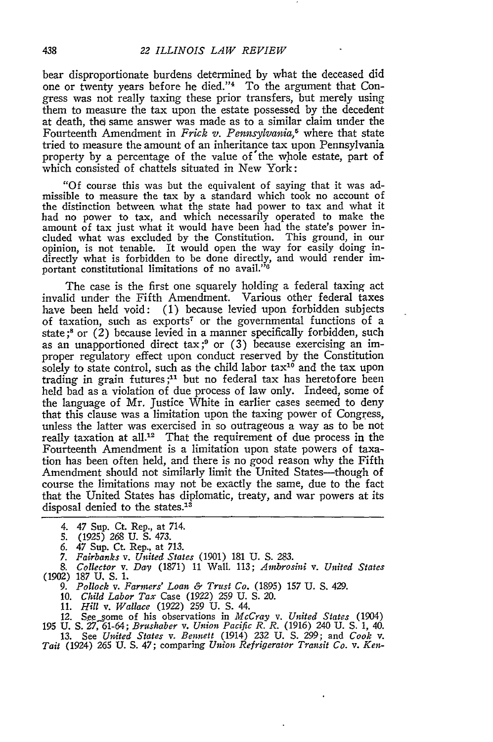bear disproportionate burdens determined by what the deceased did one or twenty years before he died."<sup>4</sup> To the argument that Congress was not really taxing these prior transfers, but merely using them to measure the tax upon the estate possessed by the decedent at death, thei same answer was made as to a similar claim under the Fourteenth Amendment in *Frick v. Pennsylvania,5* where that state tried to measure the amount of an inheritance tax upon Pennsylvania property by a percentage of the value of'the whole estate, part of which consisted of chattels situated in New York:

"Of course this was but the equivalent of saying that it was admissible to measure the tax by a standard which took no account of the distinction between what the state had power to tax and what it had no power to tax, and which necessarily operated to make the amount of tax just what it would have been had the state's power included what was excluded by the Constitution. This ground, in our opinion, is not tenable. It would open the way for easily doing indirectly what is forbidden to be done directly, and would render important constitutional limitations of no avail."<sup>6</sup>

The case is the first one squarely holding a federal taxing act invalid under the Fifth Amendment. Various other federal taxes have been held void: (1) because levied upon forbidden subjects of taxation, such as exports7 or the governmental functions of a state **;8** or (2) because levied in a manner specifically forbidden, such as an unapportioned direct tax;<sup>9</sup> or  $(3)$  because exercising an improper regulatory effect upon conduct reserved by the Constitution solely to state control, such as the child labor  $tax^{10}$  and the tax upon trading in grain futures;<sup>11</sup> but no federal tax has heretofore been held bad as a violation of due process of law only. Indeed, some of the language of Mr. Justice White in earlier cases seemed to deny that this clause was a limitation upon the taxing power of Congress, unless the latter was exercised in so outrageous a way as to be not really taxation at all.<sup>12</sup> That the requirement of due process in the Fourteenth Amendment is a limitation upon state powers of taxation has been often held, and there is no good reason why the Fifth Amendment should not similarly limit the United States—though of course the limitations may not be exactly the same, due to the fact that the United States has diplomatic, treaty, and war powers at its disposal denied to the states.<sup>13</sup>

- 4. 47 Sup. Ct. Rep., at 714.
- **5.** (1925) 268 U. S. 473.
- *6.* 47 Sup. Ct. Rep., at 713.
- *7. Fairbanks v. United States* (1901) 181 **U. S. 283.**
- 8. *Collector v. Day* (1871) 11 Wall. 113; *Ainbrosini v. United States* (1902) 187 U, **S.** 1.
	- *9. Pollock v. Farmers' Loan & Trust Co.* (1895) 157 U. S. 429.
	- 10. *Child Labor Tax* Case (1922) 259 U. **S.** 20.
	- 11. *Hill v. Wallace* (1922) 259 U. S. 44.
- *12.* S.ee\_\_ome of his observations in *McCray v. United States* (1904) **195** U. **S.** *27,* 61-64; *Brushaber v. Union Pacific R. R.* (1916) 240 U. **S.** 1, 40.
- 13. See *United States v. Bennett* (1914) *232* U. **S.** *299;* and *Cook v. Tait* (1924) **265** U. **S.** 47; comparing *Union Refrigerator Transit Co. v. Ken-*
-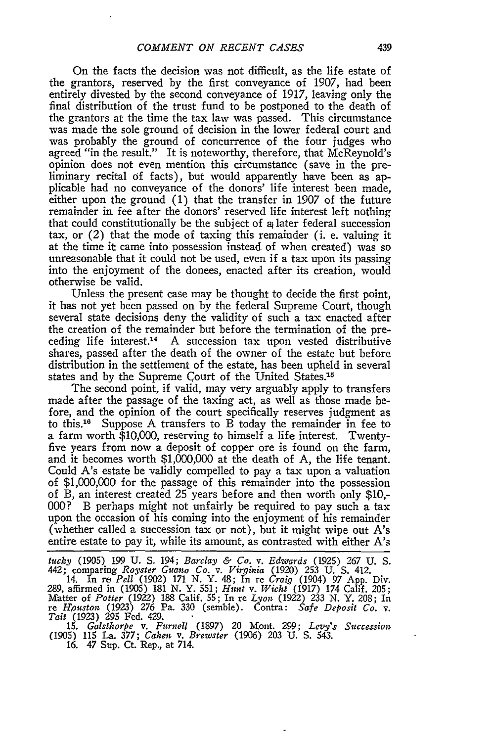On the facts the decision was not difficult, as the life estate of the grantors, reserved by the first conveyance of 1907, had been entirely divested by the second conveyance of 1917, leaving only the final distribution of the trust fund to be postponed to the death of the grantors at the time the tax law was passed. This circumstance was made the sole ground of decision in the lower federal court and was probably the ground of concurrence of the four judges who agreed "in the result." It is noteworthy, therefore, that McReynold's opinion does not even mention this circumstance (save in the preliminary recital of facts), but would apparently have been as applicable had no conveyance of the donors' life interest been made, either upon the ground (1) that the transfer in 1907 of the future remainder in fee after the donors' reserved life interest left nothing that could constitutionally be the subject of  $a_i$  later federal succession tax, or (2) that the mode of taxing this remainder (i. e. valuing it at the time it came into possession instead of when created) was so unreasonable that it could not be used, even if a tax upon its passing into the enjoyment of the donees, enacted after its creation, would otherwise be valid.

Unless the present case may be thought to decide the first point, it has not yet been passed on by the federal Supreme Court, though several state decisions deny the validity of such a tax enacted after the creation of the remainder but before the termination of the preceding life interest.<sup>14</sup> A succession tax upon vested distributive shares, passed after the death of the owner of the estate but before distribution in the settlement of the estate, has been upheld in several states and by the Supreme Court of the United States.<sup>15</sup>

The second point, if valid, may very arguably apply to transfers made after the passage of the taxing act, as well as those made before, and the opinion of the court specifically reserves judgment as to this.16 Suppose A transfers to B today the remainder in fee to a farm worth \$10,000, reserving to himself a life interest. Twentyfive years from now a deposit of copper ore is found on the farm, and it becomes worth \$1,000,000 at the death of A, the life tenant. Could A's estate be validly compelled to pay a tax upon a valuation of \$1,000,000 for the passage of this remainder into the possession of B, an interest created 25 years before and then worth only \$10,- 000? B perhaps might not unfairly be required to pay such a tax upon the occasion of his coming into the enjoyment of his remainder (whether called a succession tax or not), but it might wipe out A's entire estate to pay it, while its amount, as contrasted with either A's

*tucky* (1905) 199 **U. S.** 194; *Barclay & Co. v. Edwards* (1925) 267 **U. S.** 442; comparing *Royster Guano Co. v. Virginia* (1920) 253 U. **S.** 412. 14. In re *Pell* (1902) 171 N. Y. 48; In re *Craig* (1904) 97 App. Div.

289, affirmed in (1905) 181 N. Y. 551; *Hunt v. Wicht* (1917) 174 Calif. 205; Matter of *Potter (1922)* 188 Calif. 55; In re *Lyon* (1922) 233 N. Y. 208; In re *Houston* (1923) 276 Pa. 330 (semble). Contra: *Safe Deposit Co. v. Tait* (1923) 295 Fed. 429.

**15.** *Galsthorpe v. Furnell* (1897) 20 Mont. **299;** *Levy's Succession* (1905) 115 La. **377;** Cahen *v. Brewster* (1906) **203 U. S.** 543. **16.** 47 Sup. Ct. Rep., at 714.